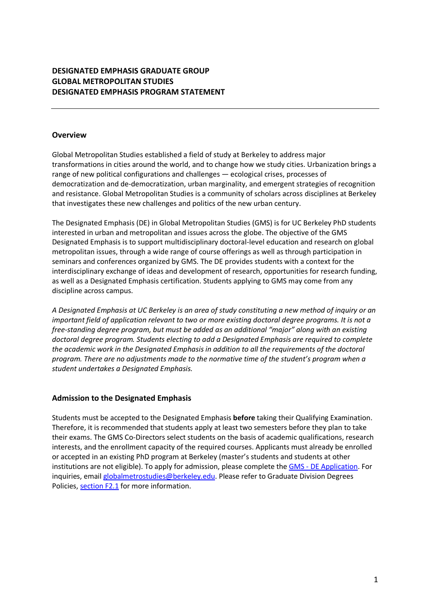# **DESIGNATED EMPHASIS GRADUATE GROUP GLOBAL METROPOLITAN STUDIES DESIGNATED EMPHASIS PROGRAM STATEMENT**

## **Overview**

Global Metropolitan Studies established a field of study at Berkeley to address major transformations in cities around the world, and to change how we study cities. Urbanization brings a range of new political configurations and challenges — ecological crises, processes of democratization and de-democratization, urban marginality, and emergent strategies of recognition and resistance. Global Metropolitan Studies is a community of scholars across disciplines at Berkeley that investigates these new challenges and politics of the new urban century.

The Designated Emphasis (DE) in Global Metropolitan Studies (GMS) is for UC Berkeley PhD students interested in urban and metropolitan and issues across the globe. The objective of the GMS Designated Emphasis is to support multidisciplinary doctoral-level education and research on global metropolitan issues, through a wide range of course offerings as well as through participation in seminars and conferences organized by GMS. The DE provides students with a context for the interdisciplinary exchange of ideas and development of research, opportunities for research funding, as well as a Designated Emphasis certification. Students applying to GMS may come from any discipline across campus.

*A Designated Emphasis at UC Berkeley is an area of study constituting a new method of inquiry or an important field of application relevant to two or more existing doctoral degree programs. It is not a free-standing degree program, but must be added as an additional "major" along with an existing doctoral degree program. Students electing to add a Designated Emphasis are required to complete the academic work in the Designated Emphasis in addition to all the requirements of the doctoral program. There are no adjustments made to the normative time of the student's program when a student undertakes a Designated Emphasis.*

## **Admission to the Designated Emphasis**

Students must be accepted to the Designated Emphasis **before** taking their Qualifying Examination. Therefore, it is recommended that students apply at least two semesters before they plan to take their exams. The GMS Co-Directors select students on the basis of academic qualifications, research interests, and the enrollment capacity of the required courses. Applicants must already be enrolled or accepted in an existing PhD program at Berkeley (master's students and students at other institutions are not eligible). To apply for admission, please complete the GMS - DE Application. For inquiries, email globalmetrostudies@berkeley.edu. Please refer to Graduate Division Degrees Policies, section F2.1 for more information.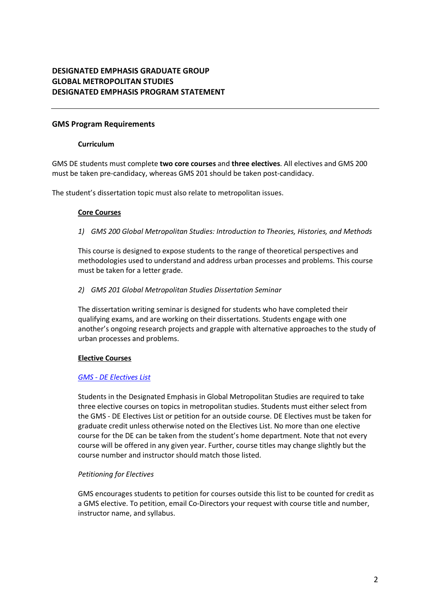# **DESIGNATED EMPHASIS GRADUATE GROUP GLOBAL METROPOLITAN STUDIES DESIGNATED EMPHASIS PROGRAM STATEMENT**

## **GMS Program Requirements**

#### **Curriculum**

GMS DE students must complete **two core courses** and **three electives**. All electives and GMS 200 must be taken pre-candidacy, whereas GMS 201 should be taken post-candidacy.

The student's dissertation topic must also relate to metropolitan issues.

#### **Core Courses**

*1) GMS 200 Global Metropolitan Studies: Introduction to Theories, Histories, and Methods*

This course is designed to expose students to the range of theoretical perspectives and methodologies used to understand and address urban processes and problems. This course must be taken for a letter grade.

#### *2) GMS 201 Global Metropolitan Studies Dissertation Seminar*

The dissertation writing seminar is designed for students who have completed their qualifying exams, and are working on their dissertations. Students engage with one another's ongoing research projects and grapple with alternative approaches to the study of urban processes and problems.

### **Elective Courses**

### *GMS - DE Electives List*

Students in the Designated Emphasis in Global Metropolitan Studies are required to take three elective courses on topics in metropolitan studies. Students must either select from the GMS - DE Electives List or petition for an outside course. DE Electives must be taken for graduate credit unless otherwise noted on the Electives List. No more than one elective course for the DE can be taken from the student's home department. Note that not every course will be offered in any given year. Further, course titles may change slightly but the course number and instructor should match those listed.

### *Petitioning for Electives*

GMS encourages students to petition for courses outside this list to be counted for credit as a GMS elective. To petition, email Co-Directors your request with course title and number, instructor name, and syllabus.